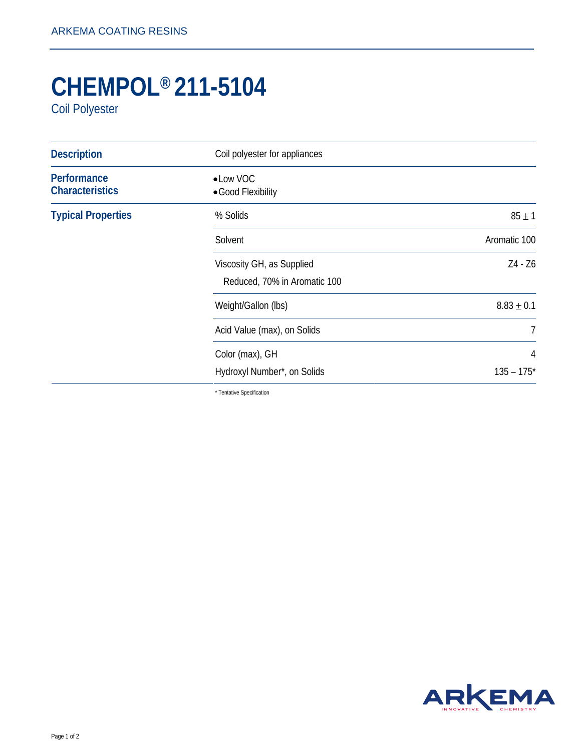## **CHEMPOL® 211-5104**

Coil Polyester

| <b>Description</b>                    | Coil polyester for appliances                             |                |
|---------------------------------------|-----------------------------------------------------------|----------------|
| Performance<br><b>Characteristics</b> | • Low VOC<br>• Good Flexibility                           |                |
| <b>Typical Properties</b>             | % Solids                                                  | $85 \pm 1$     |
|                                       | Solvent                                                   | Aromatic 100   |
|                                       | Viscosity GH, as Supplied<br>Reduced, 70% in Aromatic 100 | Z4 - Z6        |
|                                       | Weight/Gallon (lbs)                                       | $8.83 \pm 0.1$ |
|                                       | Acid Value (max), on Solids                               | 7              |
|                                       | Color (max), GH                                           | 4              |
|                                       | Hydroxyl Number*, on Solids                               | $135 - 175*$   |

\* Tentative Specification